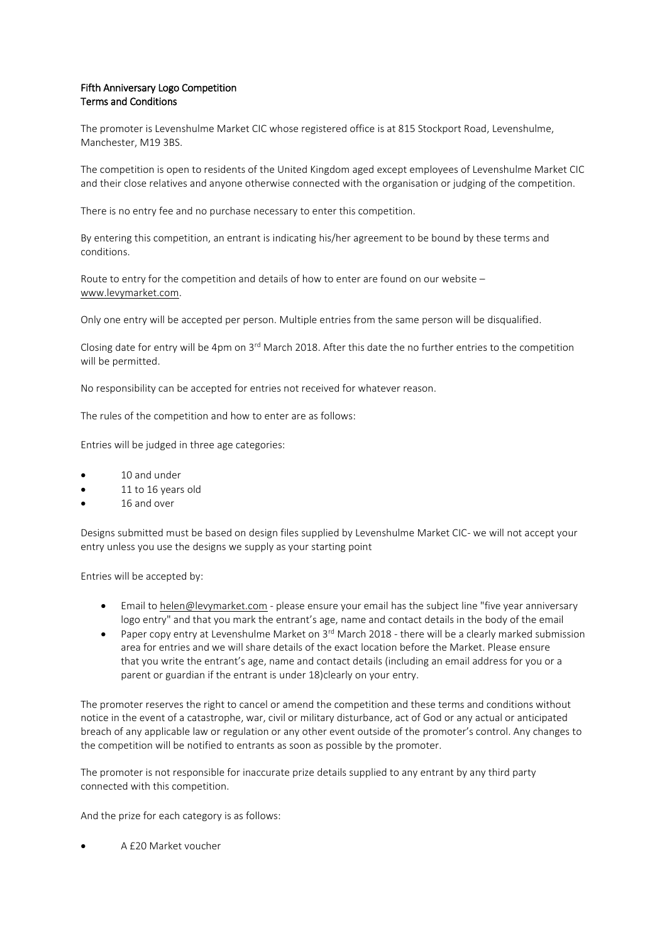## Fifth Anniversary Logo Competition Terms and Conditions

The promoter is Levenshulme Market CIC whose registered office is at 815 Stockport Road, Levenshulme, Manchester, M19 3BS.

The competition is open to residents of the United Kingdom aged except employees of Levenshulme Market CIC and their close relatives and anyone otherwise connected with the organisation or judging of the competition.

There is no entry fee and no purchase necessary to enter this competition.

By entering this competition, an entrant is indicating his/her agreement to be bound by these terms and conditions.

Route to entry for the competition and details of how to enter are found on our website – [www.levymarket.com.](http://www.levymarket.com/)

Only one entry will be accepted per person. Multiple entries from the same person will be disqualified.

Closing date for entry will be 4pm on 3rd March 2018. After this date the no further entries to the competition will be permitted.

No responsibility can be accepted for entries not received for whatever reason.

The rules of the competition and how to enter are as follows:

Entries will be judged in three age categories:

- 10 and under
- 11 to 16 years old
- 16 and over

Designs submitted must be based on design files supplied by Levenshulme Market CIC- we will not accept your entry unless you use the designs we supply as your starting point

Entries will be accepted by:

- Email to [helen@levymarket.com](mailto:helen@levymarket.com) please ensure your email has the subject line "five year anniversary logo entry" and that you mark the entrant's age, name and contact details in the body of the email
- Paper copy entry at Levenshulme Market on  $3^{\text{rd}}$  March 2018 there will be a clearly marked submission area for entries and we will share details of the exact location before the Market. Please ensure that you write the entrant's age, name and contact details (including an email address for you or a parent or guardian if the entrant is under 18)clearly on your entry.

The promoter reserves the right to cancel or amend the competition and these terms and conditions without notice in the event of a catastrophe, war, civil or military disturbance, act of God or any actual or anticipated breach of any applicable law or regulation or any other event outside of the promoter's control. Any changes to the competition will be notified to entrants as soon as possible by the promoter.

The promoter is not responsible for inaccurate prize details supplied to any entrant by any third party connected with this competition.

And the prize for each category is as follows:

A £20 Market voucher